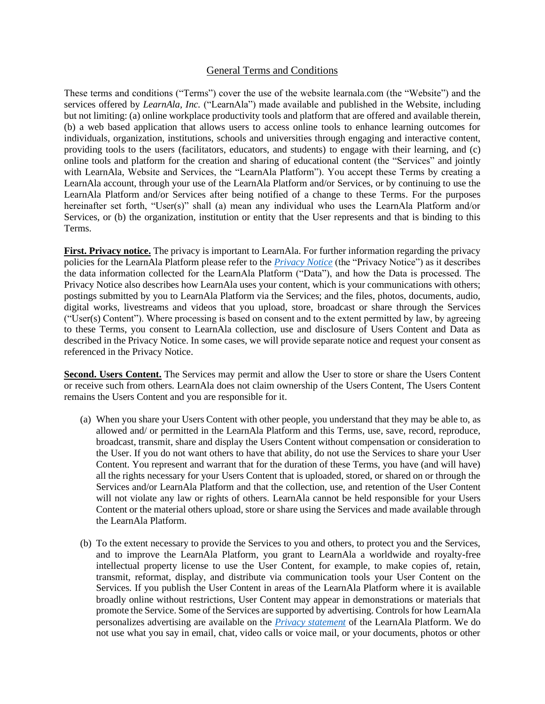# General Terms and Conditions

These terms and conditions ("Terms") cover the use of the website learnala.com (the "Website") and the services offered by *LearnAla, Inc.* ("LearnAla") made available and published in the Website, including but not limiting: (a) online workplace productivity tools and platform that are offered and available therein, (b) a web based application that allows users to access online tools to enhance learning outcomes for individuals, organization, institutions, schools and universities through engaging and interactive content, providing tools to the users (facilitators, educators, and students) to engage with their learning, and (c) online tools and platform for the creation and sharing of educational content (the "Services" and jointly with LearnAla, Website and Services, the "LearnAla Platform"). You accept these Terms by creating a LearnAla account, through your use of the LearnAla Platform and/or Services, or by continuing to use the LearnAla Platform and/or Services after being notified of a change to these Terms. For the purposes hereinafter set forth, "User(s)" shall (a) mean any individual who uses the LearnAla Platform and/or Services, or (b) the organization, institution or entity that the User represents and that is binding to this Terms.

**First. Privacy notice.** The privacy is important to LearnAla. For further information regarding the privacy policies for the LearnAla Platform please refer to the *[Privacy Notice](https://learnala.com/privacypolicy)* (the "Privacy Notice") as it describes the data information collected for the LearnAla Platform ("Data"), and how the Data is processed. The Privacy Notice also describes how LearnAla uses your content, which is your communications with others; postings submitted by you to LearnAla Platform via the Services; and the files, photos, documents, audio, digital works, livestreams and videos that you upload, store, broadcast or share through the Services ("User(s) Content"). Where processing is based on consent and to the extent permitted by law, by agreeing to these Terms, you consent to LearnAla collection, use and disclosure of Users Content and Data as described in the Privacy Notice. In some cases, we will provide separate notice and request your consent as referenced in the Privacy Notice.

**Second. Users Content.** The Services may permit and allow the User to store or share the Users Content or receive such from others. LearnAla does not claim ownership of the Users Content, The Users Content remains the Users Content and you are responsible for it.

- (a) When you share your Users Content with other people, you understand that they may be able to, as allowed and/ or permitted in the LearnAla Platform and this Terms, use, save, record, reproduce, broadcast, transmit, share and display the Users Content without compensation or consideration to the User. If you do not want others to have that ability, do not use the Services to share your User Content. You represent and warrant that for the duration of these Terms, you have (and will have) all the rights necessary for your Users Content that is uploaded, stored, or shared on or through the Services and/or LearnAla Platform and that the collection, use, and retention of the User Content will not violate any law or rights of others. LearnAla cannot be held responsible for your Users Content or the material others upload, store or share using the Services and made available through the LearnAla Platform.
- (b) To the extent necessary to provide the Services to you and others, to protect you and the Services, and to improve the LearnAla Platform, you grant to LearnAla a worldwide and royalty-free intellectual property license to use the User Content, for example, to make copies of, retain, transmit, reformat, display, and distribute via communication tools your User Content on the Services. If you publish the User Content in areas of the LearnAla Platform where it is available broadly online without restrictions, User Content may appear in demonstrations or materials that promote the Service. Some of the Services are supported by advertising. Controls for how LearnAla personalizes advertising are available on the *[Privacy statement](https://learnala.com/privacypolicy)* of the LearnAla Platform. We do not use what you say in email, chat, video calls or voice mail, or your documents, photos or other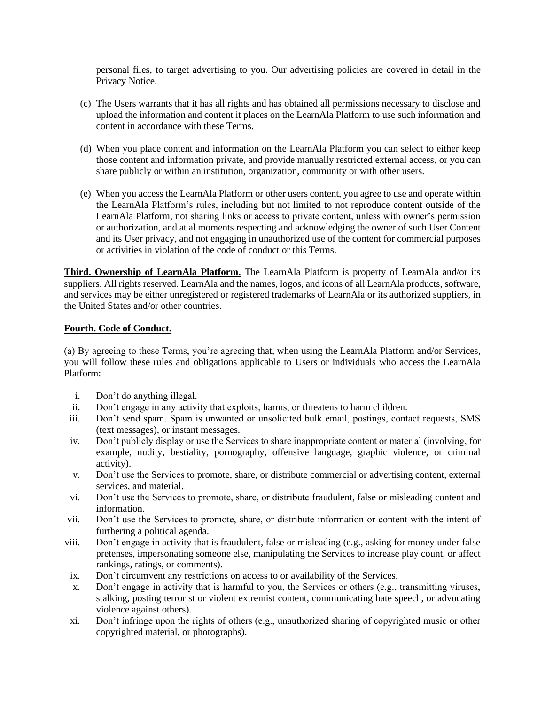personal files, to target advertising to you. Our advertising policies are covered in detail in the Privacy Notice.

- (c) The Users warrants that it has all rights and has obtained all permissions necessary to disclose and upload the information and content it places on the LearnAla Platform to use such information and content in accordance with these Terms.
- (d) When you place content and information on the LearnAla Platform you can select to either keep those content and information private, and provide manually restricted external access, or you can share publicly or within an institution, organization, community or with other users.
- (e) When you access the LearnAla Platform or other users content, you agree to use and operate within the LearnAla Platform's rules, including but not limited to not reproduce content outside of the LearnAla Platform, not sharing links or access to private content, unless with owner's permission or authorization, and at al moments respecting and acknowledging the owner of such User Content and its User privacy, and not engaging in unauthorized use of the content for commercial purposes or activities in violation of the code of conduct or this Terms.

**Third. Ownership of LearnAla Platform.** The LearnAla Platform is property of LearnAla and/or its suppliers. All rights reserved. LearnAla and the names, logos, and icons of all LearnAla products, software, and services may be either unregistered or registered trademarks of LearnAla or its authorized suppliers, in the United States and/or other countries.

## **Fourth. Code of Conduct.**

(a) By agreeing to these Terms, you're agreeing that, when using the LearnAla Platform and/or Services, you will follow these rules and obligations applicable to Users or individuals who access the LearnAla Platform:

- i. Don't do anything illegal.
- ii. Don't engage in any activity that exploits, harms, or threatens to harm children.
- iii. Don't send spam. Spam is unwanted or unsolicited bulk email, postings, contact requests, SMS (text messages), or instant messages.
- iv. Don't publicly display or use the Services to share inappropriate content or material (involving, for example, nudity, bestiality, pornography, offensive language, graphic violence, or criminal activity).
- v. Don't use the Services to promote, share, or distribute commercial or advertising content, external services, and material.
- vi. Don't use the Services to promote, share, or distribute fraudulent, false or misleading content and information.
- vii. Don't use the Services to promote, share, or distribute information or content with the intent of furthering a political agenda.
- viii. Don't engage in activity that is fraudulent, false or misleading (e.g., asking for money under false pretenses, impersonating someone else, manipulating the Services to increase play count, or affect rankings, ratings, or comments).
- ix. Don't circumvent any restrictions on access to or availability of the Services.
- x. Don't engage in activity that is harmful to you, the Services or others (e.g., transmitting viruses, stalking, posting terrorist or violent extremist content, communicating hate speech, or advocating violence against others).
- xi. Don't infringe upon the rights of others (e.g., unauthorized sharing of copyrighted music or other copyrighted material, or photographs).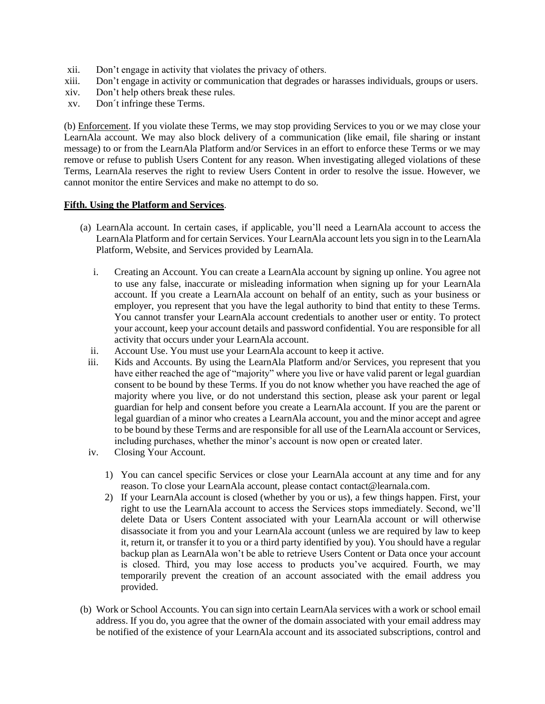- xii. Don't engage in activity that violates the privacy of others.
- xiii. Don't engage in activity or communication that degrades or harasses individuals, groups or users.
- xiv. Don't help others break these rules.
- xv. Don´t infringe these Terms.

(b) Enforcement. If you violate these Terms, we may stop providing Services to you or we may close your LearnAla account. We may also block delivery of a communication (like email, file sharing or instant message) to or from the LearnAla Platform and/or Services in an effort to enforce these Terms or we may remove or refuse to publish Users Content for any reason. When investigating alleged violations of these Terms, LearnAla reserves the right to review Users Content in order to resolve the issue. However, we cannot monitor the entire Services and make no attempt to do so.

#### **Fifth. Using the Platform and Services**.

- (a) LearnAla account. In certain cases, if applicable, you'll need a LearnAla account to access the LearnAla Platform and for certain Services. Your LearnAla account lets you sign in to the LearnAla Platform, Website, and Services provided by LearnAla.
	- i. Creating an Account. You can create a LearnAla account by signing up online. You agree not to use any false, inaccurate or misleading information when signing up for your LearnAla account. If you create a LearnAla account on behalf of an entity, such as your business or employer, you represent that you have the legal authority to bind that entity to these Terms. You cannot transfer your LearnAla account credentials to another user or entity. To protect your account, keep your account details and password confidential. You are responsible for all activity that occurs under your LearnAla account.
	- ii. Account Use. You must use your LearnAla account to keep it active.
	- iii. Kids and Accounts. By using the LearnAla Platform and/or Services, you represent that you have either reached the age of "majority" where you live or have valid parent or legal guardian consent to be bound by these Terms. If you do not know whether you have reached the age of majority where you live, or do not understand this section, please ask your parent or legal guardian for help and consent before you create a LearnAla account. If you are the parent or legal guardian of a minor who creates a LearnAla account, you and the minor accept and agree to be bound by these Terms and are responsible for all use of the LearnAla account or Services, including purchases, whether the minor's account is now open or created later.
	- iv. Closing Your Account.
		- 1) You can cancel specific Services or close your LearnAla account at any time and for any reason. To close your LearnAla account, please contact contact@learnala.com.
		- 2) If your LearnAla account is closed (whether by you or us), a few things happen. First, your right to use the LearnAla account to access the Services stops immediately. Second, we'll delete Data or Users Content associated with your LearnAla account or will otherwise disassociate it from you and your LearnAla account (unless we are required by law to keep it, return it, or transfer it to you or a third party identified by you). You should have a regular backup plan as LearnAla won't be able to retrieve Users Content or Data once your account is closed. Third, you may lose access to products you've acquired. Fourth, we may temporarily prevent the creation of an account associated with the email address you provided.
- (b) Work or School Accounts. You can sign into certain LearnAla services with a work or school email address. If you do, you agree that the owner of the domain associated with your email address may be notified of the existence of your LearnAla account and its associated subscriptions, control and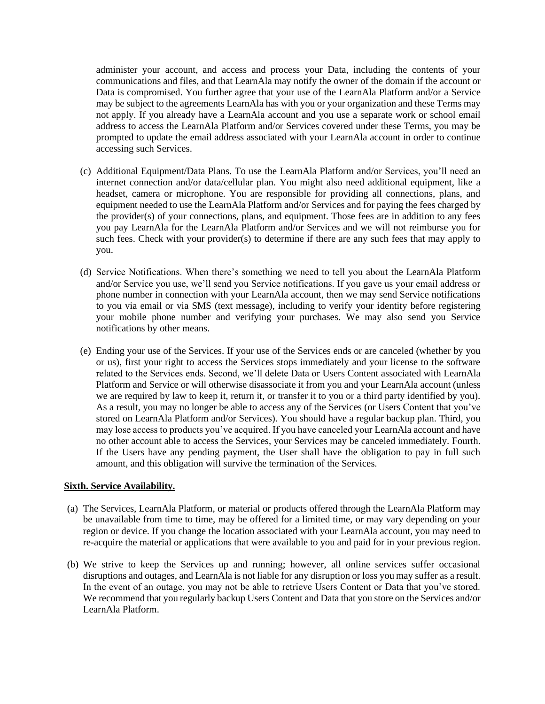administer your account, and access and process your Data, including the contents of your communications and files, and that LearnAla may notify the owner of the domain if the account or Data is compromised. You further agree that your use of the LearnAla Platform and/or a Service may be subject to the agreements LearnAla has with you or your organization and these Terms may not apply. If you already have a LearnAla account and you use a separate work or school email address to access the LearnAla Platform and/or Services covered under these Terms, you may be prompted to update the email address associated with your LearnAla account in order to continue accessing such Services.

- (c) Additional Equipment/Data Plans. To use the LearnAla Platform and/or Services, you'll need an internet connection and/or data/cellular plan. You might also need additional equipment, like a headset, camera or microphone. You are responsible for providing all connections, plans, and equipment needed to use the LearnAla Platform and/or Services and for paying the fees charged by the provider(s) of your connections, plans, and equipment. Those fees are in addition to any fees you pay LearnAla for the LearnAla Platform and/or Services and we will not reimburse you for such fees. Check with your provider(s) to determine if there are any such fees that may apply to you.
- (d) Service Notifications. When there's something we need to tell you about the LearnAla Platform and/or Service you use, we'll send you Service notifications. If you gave us your email address or phone number in connection with your LearnAla account, then we may send Service notifications to you via email or via SMS (text message), including to verify your identity before registering your mobile phone number and verifying your purchases. We may also send you Service notifications by other means.
- (e) Ending your use of the Services. If your use of the Services ends or are canceled (whether by you or us), first your right to access the Services stops immediately and your license to the software related to the Services ends. Second, we'll delete Data or Users Content associated with LearnAla Platform and Service or will otherwise disassociate it from you and your LearnAla account (unless we are required by law to keep it, return it, or transfer it to you or a third party identified by you). As a result, you may no longer be able to access any of the Services (or Users Content that you've stored on LearnAla Platform and/or Services). You should have a regular backup plan. Third, you may lose access to products you've acquired. If you have canceled your LearnAla account and have no other account able to access the Services, your Services may be canceled immediately. Fourth. If the Users have any pending payment, the User shall have the obligation to pay in full such amount, and this obligation will survive the termination of the Services.

## **Sixth. Service Availability.**

- (a) The Services, LearnAla Platform, or material or products offered through the LearnAla Platform may be unavailable from time to time, may be offered for a limited time, or may vary depending on your region or device. If you change the location associated with your LearnAla account, you may need to re-acquire the material or applications that were available to you and paid for in your previous region.
- (b) We strive to keep the Services up and running; however, all online services suffer occasional disruptions and outages, and LearnAla is not liable for any disruption or loss you may suffer as a result. In the event of an outage, you may not be able to retrieve Users Content or Data that you've stored. We recommend that you regularly backup Users Content and Data that you store on the Services and/or LearnAla Platform.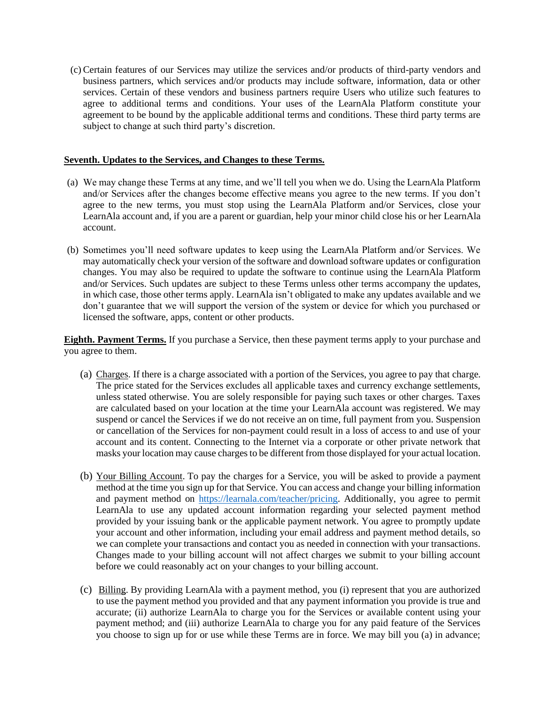(c) Certain features of our Services may utilize the services and/or products of third-party vendors and business partners, which services and/or products may include software, information, data or other services. Certain of these vendors and business partners require Users who utilize such features to agree to additional terms and conditions. Your uses of the LearnAla Platform constitute your agreement to be bound by the applicable additional terms and conditions. These third party terms are subject to change at such third party's discretion.

#### **Seventh. Updates to the Services, and Changes to these Terms.**

- (a) We may change these Terms at any time, and we'll tell you when we do. Using the LearnAla Platform and/or Services after the changes become effective means you agree to the new terms. If you don't agree to the new terms, you must stop using the LearnAla Platform and/or Services, close your LearnAla account and, if you are a parent or guardian, help your minor child close his or her LearnAla account.
- (b) Sometimes you'll need software updates to keep using the LearnAla Platform and/or Services. We may automatically check your version of the software and download software updates or configuration changes. You may also be required to update the software to continue using the LearnAla Platform and/or Services. Such updates are subject to these Terms unless other terms accompany the updates, in which case, those other terms apply. LearnAla isn't obligated to make any updates available and we don't guarantee that we will support the version of the system or device for which you purchased or licensed the software, apps, content or other products.

**Eighth. Payment Terms.** If you purchase a Service, then these payment terms apply to your purchase and you agree to them.

- (a) Charges. If there is a charge associated with a portion of the Services, you agree to pay that charge. The price stated for the Services excludes all applicable taxes and currency exchange settlements, unless stated otherwise. You are solely responsible for paying such taxes or other charges. Taxes are calculated based on your location at the time your LearnAla account was registered. We may suspend or cancel the Services if we do not receive an on time, full payment from you. Suspension or cancellation of the Services for non-payment could result in a loss of access to and use of your account and its content. Connecting to the Internet via a corporate or other private network that masks your location may cause charges to be different from those displayed for your actual location.
- (b) Your Billing Account. To pay the charges for a Service, you will be asked to provide a payment method at the time you sign up for that Service. You can access and change your billing information and payment method on [https://learnala.com/teacher/pricing.](https://learnala.com/teacher/pricing) Additionally, you agree to permit LearnAla to use any updated account information regarding your selected payment method provided by your issuing bank or the applicable payment network. You agree to promptly update your account and other information, including your email address and payment method details, so we can complete your transactions and contact you as needed in connection with your transactions. Changes made to your billing account will not affect charges we submit to your billing account before we could reasonably act on your changes to your billing account.
- (c) Billing. By providing LearnAla with a payment method, you (i) represent that you are authorized to use the payment method you provided and that any payment information you provide is true and accurate; (ii) authorize LearnAla to charge you for the Services or available content using your payment method; and (iii) authorize LearnAla to charge you for any paid feature of the Services you choose to sign up for or use while these Terms are in force. We may bill you (a) in advance;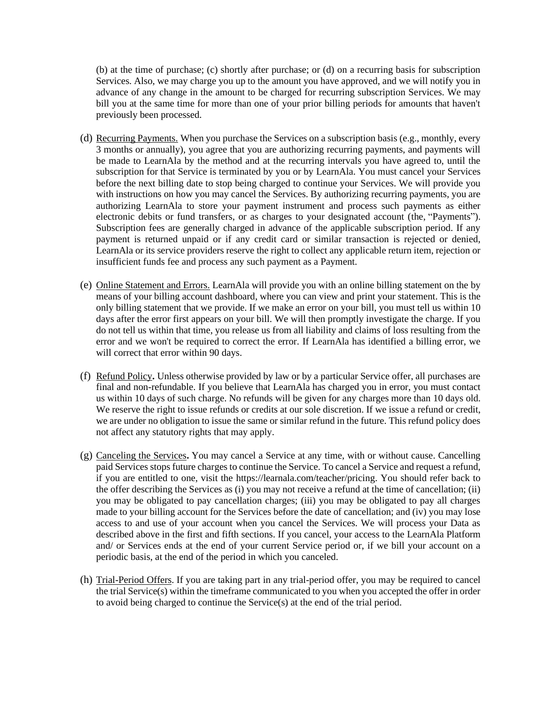(b) at the time of purchase; (c) shortly after purchase; or (d) on a recurring basis for subscription Services. Also, we may charge you up to the amount you have approved, and we will notify you in advance of any change in the amount to be charged for recurring subscription Services. We may bill you at the same time for more than one of your prior billing periods for amounts that haven't previously been processed.

- (d) Recurring Payments. When you purchase the Services on a subscription basis (e.g., monthly, every 3 months or annually), you agree that you are authorizing recurring payments, and payments will be made to LearnAla by the method and at the recurring intervals you have agreed to, until the subscription for that Service is terminated by you or by LearnAla. You must cancel your Services before the next billing date to stop being charged to continue your Services. We will provide you with instructions on how you may cancel the Services. By authorizing recurring payments, you are authorizing LearnAla to store your payment instrument and process such payments as either electronic debits or fund transfers, or as charges to your designated account (the, "Payments"). Subscription fees are generally charged in advance of the applicable subscription period. If any payment is returned unpaid or if any credit card or similar transaction is rejected or denied, LearnAla or its service providers reserve the right to collect any applicable return item, rejection or insufficient funds fee and process any such payment as a Payment.
- (e) Online Statement and Errors. LearnAla will provide you with an online billing statement on the by means of your billing account dashboard, where you can view and print your statement. This is the only billing statement that we provide. If we make an error on your bill, you must tell us within 10 days after the error first appears on your bill. We will then promptly investigate the charge. If you do not tell us within that time, you release us from all liability and claims of loss resulting from the error and we won't be required to correct the error. If LearnAla has identified a billing error, we will correct that error within 90 days.
- (f) Refund Policy**.** Unless otherwise provided by law or by a particular Service offer, all purchases are final and non-refundable. If you believe that LearnAla has charged you in error, you must contact us within 10 days of such charge. No refunds will be given for any charges more than 10 days old. We reserve the right to issue refunds or credits at our sole discretion. If we issue a refund or credit, we are under no obligation to issue the same or similar refund in the future. This refund policy does not affect any statutory rights that may apply.
- (g) Canceling the Services**.** You may cancel a Service at any time, with or without cause. Cancelling paid Services stops future charges to continue the Service. To cancel a Service and request a refund, if you are entitled to one, visit the https://learnala.com/teacher/pricing. You should refer back to the offer describing the Services as (i) you may not receive a refund at the time of cancellation; (ii) you may be obligated to pay cancellation charges; (iii) you may be obligated to pay all charges made to your billing account for the Services before the date of cancellation; and (iv) you may lose access to and use of your account when you cancel the Services. We will process your Data as described above in the first and fifth sections. If you cancel, your access to the LearnAla Platform and/ or Services ends at the end of your current Service period or, if we bill your account on a periodic basis, at the end of the period in which you canceled.
- (h) Trial-Period Offers. If you are taking part in any trial-period offer, you may be required to cancel the trial Service(s) within the timeframe communicated to you when you accepted the offer in order to avoid being charged to continue the Service(s) at the end of the trial period.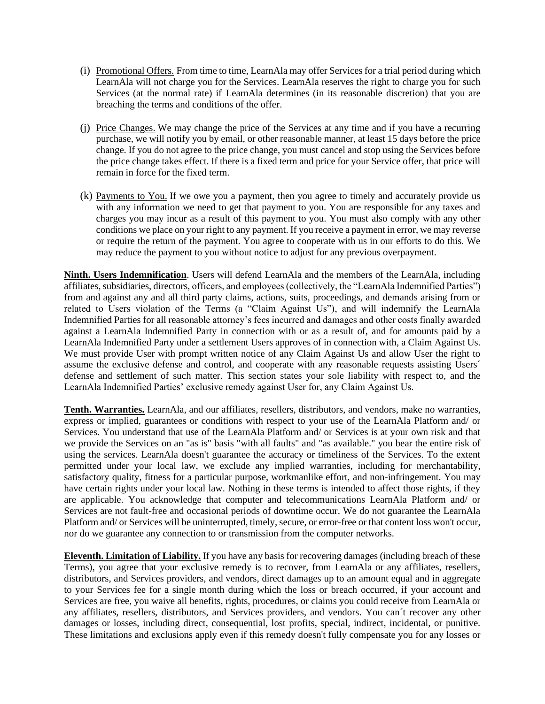- (i) Promotional Offers. From time to time, LearnAla may offer Services for a trial period during which LearnAla will not charge you for the Services. LearnAla reserves the right to charge you for such Services (at the normal rate) if LearnAla determines (in its reasonable discretion) that you are breaching the terms and conditions of the offer.
- (j) Price Changes. We may change the price of the Services at any time and if you have a recurring purchase, we will notify you by email, or other reasonable manner, at least 15 days before the price change. If you do not agree to the price change, you must cancel and stop using the Services before the price change takes effect. If there is a fixed term and price for your Service offer, that price will remain in force for the fixed term.
- (k) Payments to You. If we owe you a payment, then you agree to timely and accurately provide us with any information we need to get that payment to you. You are responsible for any taxes and charges you may incur as a result of this payment to you. You must also comply with any other conditions we place on your right to any payment. If you receive a payment in error, we may reverse or require the return of the payment. You agree to cooperate with us in our efforts to do this. We may reduce the payment to you without notice to adjust for any previous overpayment.

**Ninth. Users Indemnification**. Users will defend LearnAla and the members of the LearnAla, including affiliates, subsidiaries, directors, officers, and employees (collectively, the "LearnAla Indemnified Parties") from and against any and all third party claims, actions, suits, proceedings, and demands arising from or related to Users violation of the Terms (a "Claim Against Us"), and will indemnify the LearnAla Indemnified Parties for all reasonable attorney's fees incurred and damages and other costs finally awarded against a LearnAla Indemnified Party in connection with or as a result of, and for amounts paid by a LearnAla Indemnified Party under a settlement Users approves of in connection with, a Claim Against Us. We must provide User with prompt written notice of any Claim Against Us and allow User the right to assume the exclusive defense and control, and cooperate with any reasonable requests assisting Users´ defense and settlement of such matter. This section states your sole liability with respect to, and the LearnAla Indemnified Parties' exclusive remedy against User for, any Claim Against Us.

**Tenth. Warranties.** LearnAla, and our affiliates, resellers, distributors, and vendors, make no warranties, express or implied, guarantees or conditions with respect to your use of the LearnAla Platform and/ or Services. You understand that use of the LearnAla Platform and/ or Services is at your own risk and that we provide the Services on an "as is" basis "with all faults" and "as available." you bear the entire risk of using the services. LearnAla doesn't guarantee the accuracy or timeliness of the Services. To the extent permitted under your local law, we exclude any implied warranties, including for merchantability, satisfactory quality, fitness for a particular purpose, workmanlike effort, and non-infringement. You may have certain rights under your local law. Nothing in these terms is intended to affect those rights, if they are applicable. You acknowledge that computer and telecommunications LearnAla Platform and/ or Services are not fault-free and occasional periods of downtime occur. We do not guarantee the LearnAla Platform and/ or Services will be uninterrupted, timely, secure, or error-free or that content loss won't occur, nor do we guarantee any connection to or transmission from the computer networks.

**Eleventh. Limitation of Liability.** If you have any basis for recovering damages (including breach of these Terms), you agree that your exclusive remedy is to recover, from LearnAla or any affiliates, resellers, distributors, and Services providers, and vendors, direct damages up to an amount equal and in aggregate to your Services fee for a single month during which the loss or breach occurred, if your account and Services are free, you waive all benefits, rights, procedures, or claims you could receive from LearnAla or any affiliates, resellers, distributors, and Services providers, and vendors. You can´t recover any other damages or losses, including direct, consequential, lost profits, special, indirect, incidental, or punitive. These limitations and exclusions apply even if this remedy doesn't fully compensate you for any losses or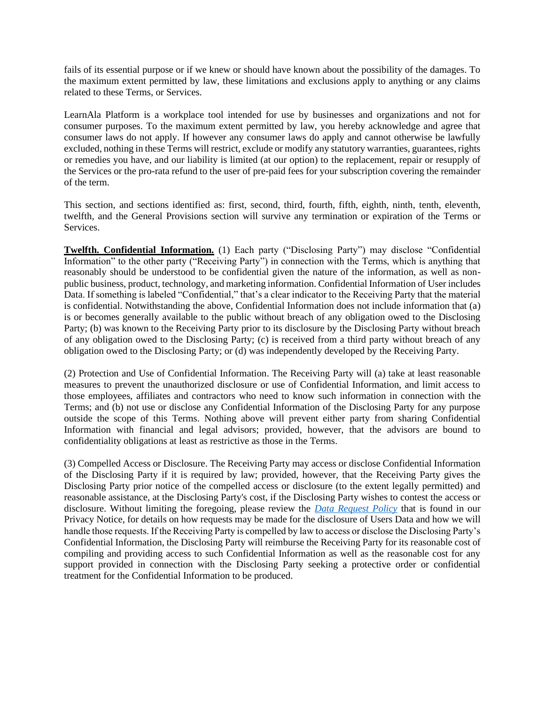fails of its essential purpose or if we knew or should have known about the possibility of the damages. To the maximum extent permitted by law, these limitations and exclusions apply to anything or any claims related to these Terms, or Services.

LearnAla Platform is a workplace tool intended for use by businesses and organizations and not for consumer purposes. To the maximum extent permitted by law, you hereby acknowledge and agree that consumer laws do not apply. If however any consumer laws do apply and cannot otherwise be lawfully excluded, nothing in these Terms will restrict, exclude or modify any statutory warranties, guarantees, rights or remedies you have, and our liability is limited (at our option) to the replacement, repair or resupply of the Services or the pro-rata refund to the user of pre-paid fees for your subscription covering the remainder of the term.

This section, and sections identified as: first, second, third, fourth, fifth, eighth, ninth, tenth, eleventh, twelfth, and the General Provisions section will survive any termination or expiration of the Terms or Services.

**Twelfth. Confidential Information.** (1) Each party ("Disclosing Party") may disclose "Confidential Information" to the other party ("Receiving Party") in connection with the Terms, which is anything that reasonably should be understood to be confidential given the nature of the information, as well as nonpublic business, product, technology, and marketing information. Confidential Information of User includes Data. If something is labeled "Confidential," that's a clear indicator to the Receiving Party that the material is confidential. Notwithstanding the above, Confidential Information does not include information that (a) is or becomes generally available to the public without breach of any obligation owed to the Disclosing Party; (b) was known to the Receiving Party prior to its disclosure by the Disclosing Party without breach of any obligation owed to the Disclosing Party; (c) is received from a third party without breach of any obligation owed to the Disclosing Party; or (d) was independently developed by the Receiving Party.

(2) Protection and Use of Confidential Information. The Receiving Party will (a) take at least reasonable measures to prevent the unauthorized disclosure or use of Confidential Information, and limit access to those employees, affiliates and contractors who need to know such information in connection with the Terms; and (b) not use or disclose any Confidential Information of the Disclosing Party for any purpose outside the scope of this Terms. Nothing above will prevent either party from sharing Confidential Information with financial and legal advisors; provided, however, that the advisors are bound to confidentiality obligations at least as restrictive as those in the Terms.

(3) Compelled Access or Disclosure. The Receiving Party may access or disclose Confidential Information of the Disclosing Party if it is required by law; provided, however, that the Receiving Party gives the Disclosing Party prior notice of the compelled access or disclosure (to the extent legally permitted) and reasonable assistance, at the Disclosing Party's cost, if the Disclosing Party wishes to contest the access or disclosure. Without limiting the foregoing, please review the *[Data Request Policy](https://learnala.com/privacypolicy)* that is found in our Privacy Notice, for details on how requests may be made for the disclosure of Users Data and how we will handle those requests. If the Receiving Party is compelled by law to access or disclose the Disclosing Party's Confidential Information, the Disclosing Party will reimburse the Receiving Party for its reasonable cost of compiling and providing access to such Confidential Information as well as the reasonable cost for any support provided in connection with the Disclosing Party seeking a protective order or confidential treatment for the Confidential Information to be produced.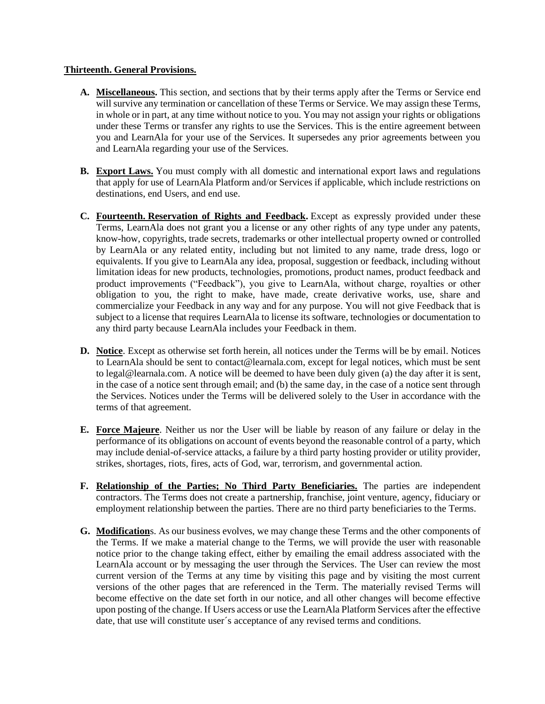## **Thirteenth. General Provisions.**

- **A. Miscellaneous.** This section, and sections that by their terms apply after the Terms or Service end will survive any termination or cancellation of these Terms or Service. We may assign these Terms, in whole or in part, at any time without notice to you. You may not assign your rights or obligations under these Terms or transfer any rights to use the Services. This is the entire agreement between you and LearnAla for your use of the Services. It supersedes any prior agreements between you and LearnAla regarding your use of the Services.
- **B. Export Laws.** You must comply with all domestic and international export laws and regulations that apply for use of LearnAla Platform and/or Services if applicable, which include restrictions on destinations, end Users, and end use.
- **C. Fourteenth. Reservation of Rights and Feedback.** Except as expressly provided under these Terms, LearnAla does not grant you a license or any other rights of any type under any patents, know-how, copyrights, trade secrets, trademarks or other intellectual property owned or controlled by LearnAla or any related entity, including but not limited to any name, trade dress, logo or equivalents. If you give to LearnAla any idea, proposal, suggestion or feedback, including without limitation ideas for new products, technologies, promotions, product names, product feedback and product improvements ("Feedback"), you give to LearnAla, without charge, royalties or other obligation to you, the right to make, have made, create derivative works, use, share and commercialize your Feedback in any way and for any purpose. You will not give Feedback that is subject to a license that requires LearnAla to license its software, technologies or documentation to any third party because LearnAla includes your Feedback in them.
- **D. Notice**. Except as otherwise set forth herein, all notices under the Terms will be by email. Notices to LearnAla should be sent to contact@learnala.com, except for legal notices, which must be sent to legal@learnala.com. A notice will be deemed to have been duly given (a) the day after it is sent, in the case of a notice sent through email; and (b) the same day, in the case of a notice sent through the Services. Notices under the Terms will be delivered solely to the User in accordance with the terms of that agreement.
- **E. Force Majeure**. Neither us nor the User will be liable by reason of any failure or delay in the performance of its obligations on account of events beyond the reasonable control of a party, which may include denial-of-service attacks, a failure by a third party hosting provider or utility provider, strikes, shortages, riots, fires, acts of God, war, terrorism, and governmental action.
- **F. Relationship of the Parties; No Third Party Beneficiaries.** The parties are independent contractors. The Terms does not create a partnership, franchise, joint venture, agency, fiduciary or employment relationship between the parties. There are no third party beneficiaries to the Terms.
- **G. Modification**s. As our business evolves, we may change these Terms and the other components of the Terms. If we make a material change to the Terms, we will provide the user with reasonable notice prior to the change taking effect, either by emailing the email address associated with the LearnAla account or by messaging the user through the Services. The User can review the most current version of the Terms at any time by visiting this page and by visiting the most current versions of the other pages that are referenced in the Term. The materially revised Terms will become effective on the date set forth in our notice, and all other changes will become effective upon posting of the change. If Users access or use the LearnAla Platform Services after the effective date, that use will constitute user´s acceptance of any revised terms and conditions.